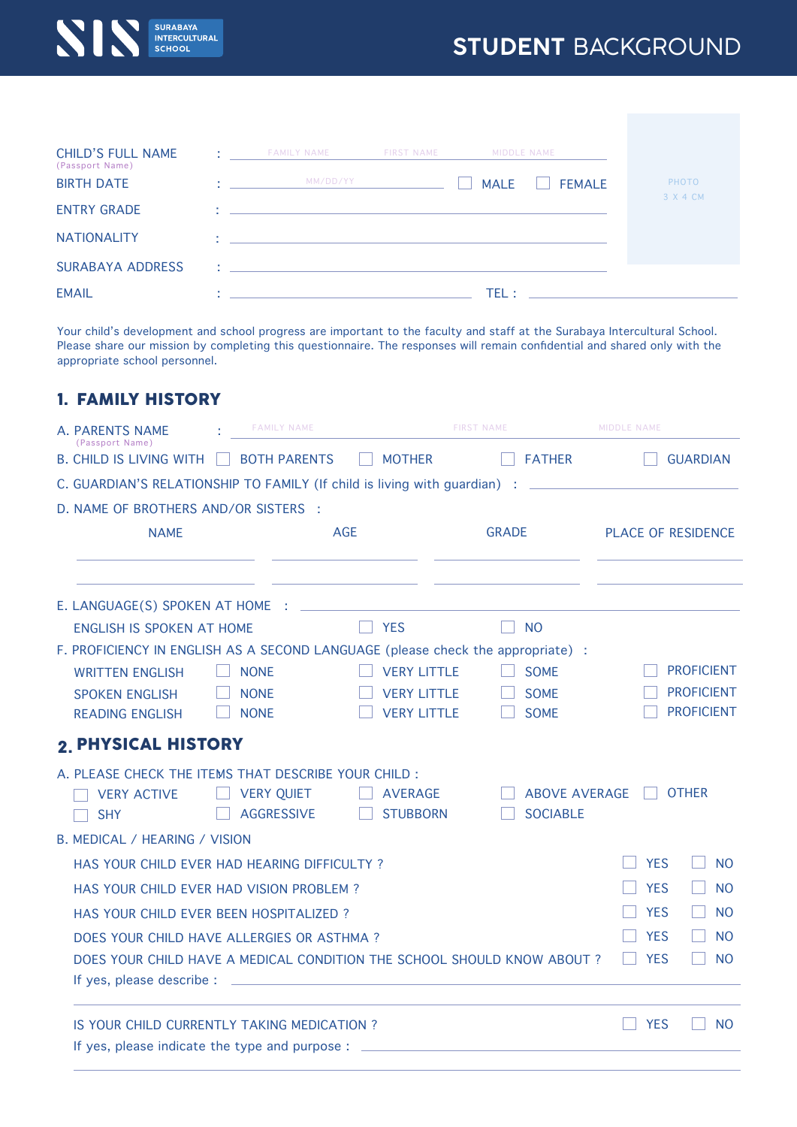## **STUDENT** BACKGROUND



| <b>CHILD'S FULL NAME</b> | <b>COL</b> | <b>FAMILY NAME</b>                                                                                                   | <b>FIRST NAME</b> | MIDDLE NAME |               |
|--------------------------|------------|----------------------------------------------------------------------------------------------------------------------|-------------------|-------------|---------------|
| (Passport Name)          |            |                                                                                                                      |                   |             |               |
| <b>BIRTH DATE</b>        |            | MM/DD/YY                                                                                                             |                   | <b>MALE</b> | <b>FEMALE</b> |
| <b>ENTRY GRADE</b>       | <b>A</b>   | <u> 1986 - Antonio Alemania, prima postala de la provincia de la provincia de la provincia de la provincia de la</u> |                   |             |               |
| <b>NATIONALITY</b>       |            |                                                                                                                      |                   |             |               |
| <b>SURABAYA ADDRESS</b>  |            | あいしょう アイ・シー アイ・シー アイ・シー                                                                                              |                   |             |               |
| <b>EMAIL</b>             |            | the control of the control of the control of the control of the control of                                           |                   | TFL :       |               |

Your child's development and school progress are important to the faculty and staff at the Surabaya Intercultural School. Please share our mission by completing this questionnaire. The responses will remain confidential and shared only with the appropriate school personnel.

## FAMILY HISTORY 1.

| A. PARENTS NAME<br>(Passport Name) |                                                                                                                      |                                                                                                                        | <b>FAMILY NAME</b>                                                                        | <b>FIRST NAME</b>  |  |                      | MIDDLE NAME |                           |  |  |
|------------------------------------|----------------------------------------------------------------------------------------------------------------------|------------------------------------------------------------------------------------------------------------------------|-------------------------------------------------------------------------------------------|--------------------|--|----------------------|-------------|---------------------------|--|--|
|                                    | <b>B. CHILD IS LIVING WITH</b>                                                                                       |                                                                                                                        | <b>BOTH PARENTS</b>                                                                       | <b>MOTHER</b>      |  | <b>FATHER</b>        |             | <b>GUARDIAN</b>           |  |  |
|                                    |                                                                                                                      | C. GUARDIAN'S RELATIONSHIP TO FAMILY (If child is living with guardian) :<br><u> 1990 - Jan Barbara Barbara, manda</u> |                                                                                           |                    |  |                      |             |                           |  |  |
|                                    | D. NAME OF BROTHERS AND/OR SISTERS :                                                                                 |                                                                                                                        |                                                                                           |                    |  |                      |             |                           |  |  |
|                                    | <b>NAME</b>                                                                                                          |                                                                                                                        | <b>AGE</b>                                                                                |                    |  | <b>GRADE</b>         |             | <b>PLACE OF RESIDENCE</b> |  |  |
|                                    |                                                                                                                      |                                                                                                                        |                                                                                           |                    |  |                      |             |                           |  |  |
|                                    | E. LANGUAGE(S) SPOKEN AT HOME :                                                                                      |                                                                                                                        |                                                                                           |                    |  |                      |             |                           |  |  |
|                                    | <b>ENGLISH IS SPOKEN AT HOME</b>                                                                                     |                                                                                                                        |                                                                                           | <b>YES</b>         |  | <b>NO</b>            |             |                           |  |  |
|                                    | F. PROFICIENCY IN ENGLISH AS A SECOND LANGUAGE (please check the appropriate) :                                      |                                                                                                                        |                                                                                           |                    |  |                      |             |                           |  |  |
|                                    | <b>WRITTEN ENGLISH</b>                                                                                               |                                                                                                                        | <b>NONE</b>                                                                               | <b>VERY LITTLE</b> |  | <b>SOME</b>          |             | <b>PROFICIENT</b>         |  |  |
|                                    | <b>SPOKEN ENGLISH</b>                                                                                                |                                                                                                                        | <b>NONE</b>                                                                               | <b>VERY LITTLE</b> |  | <b>SOME</b>          |             | <b>PROFICIENT</b>         |  |  |
|                                    | <b>READING ENGLISH</b>                                                                                               |                                                                                                                        | <b>NONE</b>                                                                               | <b>VERY LITTLE</b> |  | <b>SOME</b>          |             | <b>PROFICIENT</b>         |  |  |
|                                    | <b>2. PHYSICAL HISTORY</b>                                                                                           |                                                                                                                        |                                                                                           |                    |  |                      |             |                           |  |  |
|                                    | A. PLEASE CHECK THE ITEMS THAT DESCRIBE YOUR CHILD:                                                                  |                                                                                                                        |                                                                                           |                    |  |                      |             |                           |  |  |
|                                    | <b>VERY ACTIVE</b>                                                                                                   |                                                                                                                        | <b>VERY QUIET</b>                                                                         | <b>AVERAGE</b>     |  | <b>ABOVE AVERAGE</b> |             | <b>OTHER</b>              |  |  |
|                                    | <b>SHY</b>                                                                                                           |                                                                                                                        | <b>AGGRESSIVE</b>                                                                         | <b>STUBBORN</b>    |  | <b>SOCIABLE</b>      |             |                           |  |  |
|                                    | B. MEDICAL / HEARING / VISION                                                                                        |                                                                                                                        |                                                                                           |                    |  |                      |             |                           |  |  |
|                                    | HAS YOUR CHILD EVER HAD HEARING DIFFICULTY?                                                                          |                                                                                                                        |                                                                                           |                    |  |                      | <b>YES</b>  | <b>NO</b>                 |  |  |
|                                    | HAS YOUR CHILD EVER HAD VISION PROBLEM?<br>HAS YOUR CHILD EVER BEEN HOSPITALIZED?                                    |                                                                                                                        |                                                                                           |                    |  |                      |             | <b>NO</b>                 |  |  |
|                                    |                                                                                                                      |                                                                                                                        |                                                                                           |                    |  |                      |             | <b>NO</b>                 |  |  |
|                                    | DOES YOUR CHILD HAVE ALLERGIES OR ASTHMA?<br>DOES YOUR CHILD HAVE A MEDICAL CONDITION THE SCHOOL SHOULD KNOW ABOUT ? |                                                                                                                        |                                                                                           |                    |  |                      | <b>YES</b>  | <b>NO</b>                 |  |  |
|                                    |                                                                                                                      |                                                                                                                        |                                                                                           |                    |  |                      | <b>YES</b>  | N <sub>O</sub>            |  |  |
|                                    | If yes, please describe :                                                                                            |                                                                                                                        | the control of the control of the control of the control of the control of the control of |                    |  |                      |             |                           |  |  |
|                                    | IS YOUR CHILD CURRENTLY TAKING MEDICATION?                                                                           |                                                                                                                        |                                                                                           |                    |  |                      | <b>YES</b>  | <sub>NO</sub>             |  |  |
|                                    | If yes, please indicate the type and purpose : $\overline{\phantom{a}}$                                              |                                                                                                                        |                                                                                           |                    |  |                      |             |                           |  |  |
|                                    |                                                                                                                      |                                                                                                                        |                                                                                           |                    |  |                      |             |                           |  |  |